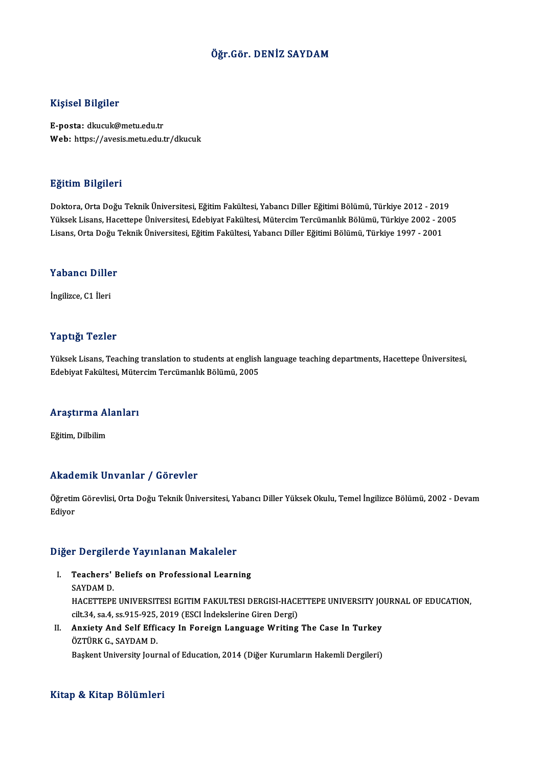### Öğr.Gör. DENİZ SAYDAM

### Kişisel Bilgiler

E-posta: dkucuk@metu.edu.tr Web: https://avesis.metu.edu.tr/dkucuk

#### Eğitim Bilgileri

Doktora,OrtaDoğuTeknikÜniversitesi,EğitimFakültesi,YabancıDiler EğitimiBölümü,Türkiye 2012 -2019 Yüksek Lisans, Hacettepe Üniversitesi, Edebiyat Fakültesi, Mütercim Tercümanlık Bölümü, Türkiye 2002 - 2005 Lisans, Orta Doğu Teknik Üniversitesi, Eğitim Fakültesi, Yabancı Diller Eğitimi Bölümü, Türkiye 1997 - 2001

### Lisans, orta Dogu<br>Yabancı Diller Y<mark>abancı Dille</mark><br>İngilizce, C1 İleri

## İngilizce, C1 İleri<br>Yaptığı Tezler

Yüksek Lisans, Teaching translation to students at english language teaching departments, Hacettepe Üniversitesi, Edebiyat Fakültesi, Mütercim Tercümanlık Bölümü, 2005

### <sub>Edebiyat rakultesi, Mute.</sub><br>Araştırma Alanları <mark>Araştırma Al</mark><br>Eğitim, Dilbilim

## Akademik Unvanlar / Görevler

Akademik Unvanlar / Görevler<br>Öğretim Görevlisi, Orta Doğu Teknik Üniversitesi, Yabancı Diller Yüksek Okulu, Temel İngilizce Bölümü, 2002 - Devam<br>Ediyar rrnaa<br>Öğretin<br>Ediyor

## <sub>Ediyor</sub><br>Diğer Dergilerde Yayınlanan Makaleler

- Iger Dergilerde Yayınlanan Makaleler<br>I. Teachers' Beliefs on Professional Learning<br>SAYDAM D THE STATISTICS.<br>Teachers'<br>SAYDAM D. Teachers' Beliefs on Professional Learning<br>SAYDAM D.<br>HACETTEPE UNIVERSITESI EGITIM FAKULTESI DERGISI-HACETTEPE UNIVERSITY JOURNAL OF EDUCATION,<br>S<sup>ilt 24,</sup> S2,4, S2,915, 825, 2019 (ESCLIndekslarine Cinen Dersi) SAYDAM D.<br>HACETTEPE UNIVERSITESI EGITIM FAKULTESI DERGISI-HACE<br>cilt.34, sa.4, ss.915-925, 2019 (ESCI İndekslerine Giren Dergi)<br>Anviety And Self Efficesy In Fereisp Language Writing HACETTEPE UNIVERSITESI EGITIM FAKULTESI DERGISI-HACETTEPE UNIVERSITY JO<br>cilt.34, sa.4, ss.915-925, 2019 (ESCI Indekslerine Giren Dergi)<br>II. Anxiety And Self Efficacy In Foreign Language Writing The Case In Turkey
- cilt.34, sa.4, ss.915-925, 2019 (ESCI İndekslerine Giren Dergi)<br>Anxiety And Self Efficacy In Foreign Language Writing The Case In Turkey<br>ÖZTÜRK G., SAYDAM D.<br>Başkent University Journal of Education, 2014 (Diğer Kurumların Anxiety And Self Efficacy In Foreign Language Writing The Case In Turkey<br>ÖZTÜRK G., SAYDAM D.<br>Başkent University Journal of Education, 2014 (Diğer Kurumların Hakemli Dergileri)

#### Kitap & Kitap Bölümleri